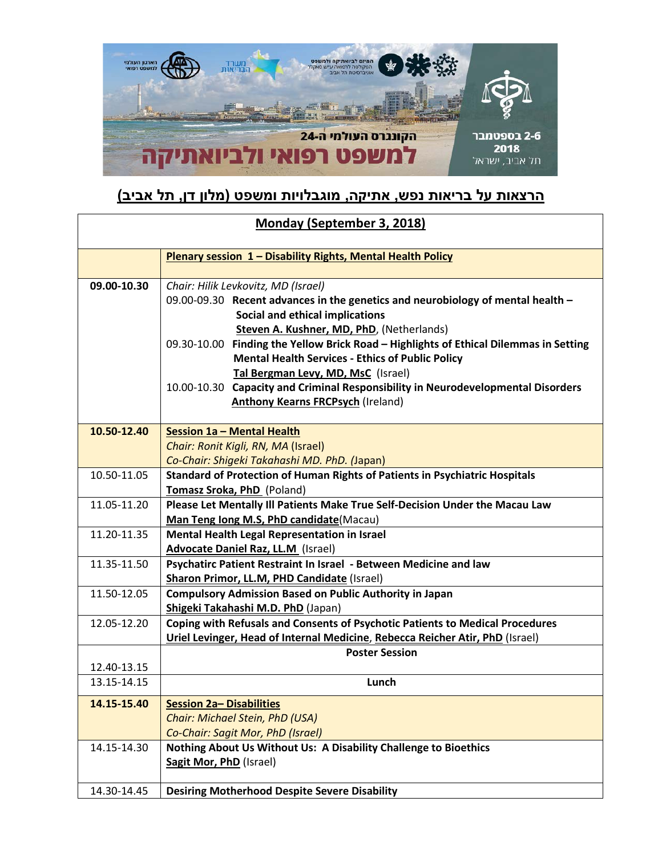

## **הרצאות על בריאות נפש, אתיקה, מוגבלויות ומשפט (מלון דן, תל אביב)**

| Monday (September 3, 2018) |                                                                                                                                                                                                                                                                                                                                                                                                                                                                                                                                  |
|----------------------------|----------------------------------------------------------------------------------------------------------------------------------------------------------------------------------------------------------------------------------------------------------------------------------------------------------------------------------------------------------------------------------------------------------------------------------------------------------------------------------------------------------------------------------|
|                            | <b>Plenary session 1 - Disability Rights, Mental Health Policy</b>                                                                                                                                                                                                                                                                                                                                                                                                                                                               |
| 09.00-10.30                | Chair: Hilik Levkovitz, MD (Israel)<br>09.00-09.30 Recent advances in the genetics and neurobiology of mental health -<br>Social and ethical implications<br>Steven A. Kushner, MD, PhD, (Netherlands)<br>09.30-10.00 Finding the Yellow Brick Road - Highlights of Ethical Dilemmas in Setting<br><b>Mental Health Services - Ethics of Public Policy</b><br>Tal Bergman Levy, MD, MsC (Israel)<br>10.00-10.30 Capacity and Criminal Responsibility in Neurodevelopmental Disorders<br><b>Anthony Kearns FRCPsych (Ireland)</b> |
| 10.50-12.40                | <b>Session 1a - Mental Health</b><br>Chair: Ronit Kigli, RN, MA (Israel)<br>Co-Chair: Shigeki Takahashi MD. PhD. (Japan)                                                                                                                                                                                                                                                                                                                                                                                                         |
| 10.50-11.05                | Standard of Protection of Human Rights of Patients in Psychiatric Hospitals<br>Tomasz Sroka, PhD (Poland)                                                                                                                                                                                                                                                                                                                                                                                                                        |
| 11.05-11.20                | Please Let Mentally III Patients Make True Self-Decision Under the Macau Law<br>Man Teng long M.S, PhD candidate(Macau)                                                                                                                                                                                                                                                                                                                                                                                                          |
| 11.20-11.35                | Mental Health Legal Representation in Israel<br><b>Advocate Daniel Raz, LL.M (Israel)</b>                                                                                                                                                                                                                                                                                                                                                                                                                                        |
| 11.35-11.50                | Psychatirc Patient Restraint In Israel - Between Medicine and law<br><b>Sharon Primor, LL.M, PHD Candidate (Israel)</b>                                                                                                                                                                                                                                                                                                                                                                                                          |
| 11.50-12.05                | <b>Compulsory Admission Based on Public Authority in Japan</b><br>Shigeki Takahashi M.D. PhD (Japan)                                                                                                                                                                                                                                                                                                                                                                                                                             |
| 12.05-12.20                | Coping with Refusals and Consents of Psychotic Patients to Medical Procedures<br>Uriel Levinger, Head of Internal Medicine, Rebecca Reicher Atir, PhD (Israel)<br><b>Poster Session</b>                                                                                                                                                                                                                                                                                                                                          |
| 12.40-13.15                |                                                                                                                                                                                                                                                                                                                                                                                                                                                                                                                                  |
| 13.15-14.15                | Lunch                                                                                                                                                                                                                                                                                                                                                                                                                                                                                                                            |
| 14.15-15.40                | <b>Session 2a- Disabilities</b><br>Chair: Michael Stein, PhD (USA)<br>Co-Chair: Sagit Mor, PhD (Israel)                                                                                                                                                                                                                                                                                                                                                                                                                          |
| 14.15-14.30                | Nothing About Us Without Us: A Disability Challenge to Bioethics<br><b>Sagit Mor, PhD (Israel)</b>                                                                                                                                                                                                                                                                                                                                                                                                                               |
| 14.30-14.45                | <b>Desiring Motherhood Despite Severe Disability</b>                                                                                                                                                                                                                                                                                                                                                                                                                                                                             |